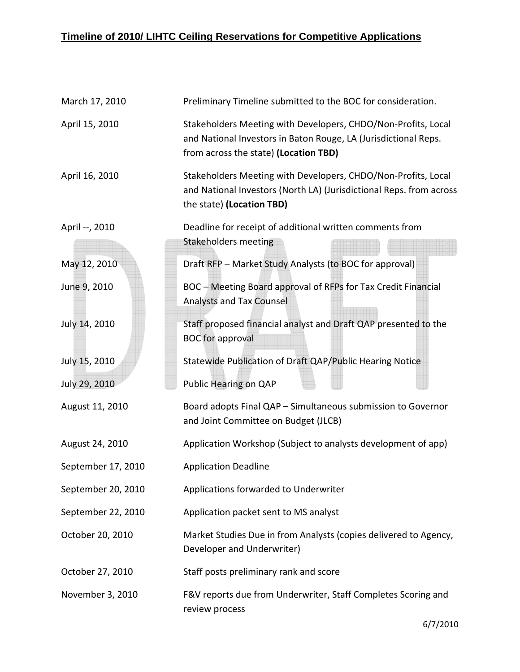## **Timeline of 2010/ LIHTC Ceiling Reservations for Competitive Applications**

| March 17, 2010     | Preliminary Timeline submitted to the BOC for consideration.                                                                                                              |
|--------------------|---------------------------------------------------------------------------------------------------------------------------------------------------------------------------|
| April 15, 2010     | Stakeholders Meeting with Developers, CHDO/Non-Profits, Local<br>and National Investors in Baton Rouge, LA (Jurisdictional Reps.<br>from across the state) (Location TBD) |
| April 16, 2010     | Stakeholders Meeting with Developers, CHDO/Non-Profits, Local<br>and National Investors (North LA) (Jurisdictional Reps. from across<br>the state) (Location TBD)         |
| April --, 2010     | Deadline for receipt of additional written comments from<br><b>Stakeholders meeting</b>                                                                                   |
| May 12, 2010       | Draft RFP - Market Study Analysts (to BOC for approval)                                                                                                                   |
| June 9, 2010       | BOC - Meeting Board approval of RFPs for Tax Credit Financial<br><b>Analysts and Tax Counsel</b>                                                                          |
| July 14, 2010      | Staff proposed financial analyst and Draft QAP presented to the<br><b>BOC</b> for approval                                                                                |
| July 15, 2010      | Statewide Publication of Draft QAP/Public Hearing Notice                                                                                                                  |
| July 29, 2010      | Public Hearing on QAP                                                                                                                                                     |
| August 11, 2010    | Board adopts Final QAP - Simultaneous submission to Governor<br>and Joint Committee on Budget (JLCB)                                                                      |
| August 24, 2010    | Application Workshop (Subject to analysts development of app)                                                                                                             |
| September 17, 2010 | <b>Application Deadline</b>                                                                                                                                               |
| September 20, 2010 | Applications forwarded to Underwriter                                                                                                                                     |
| September 22, 2010 | Application packet sent to MS analyst                                                                                                                                     |
| October 20, 2010   | Market Studies Due in from Analysts (copies delivered to Agency,<br>Developer and Underwriter)                                                                            |
| October 27, 2010   | Staff posts preliminary rank and score                                                                                                                                    |
| November 3, 2010   | F&V reports due from Underwriter, Staff Completes Scoring and<br>review process                                                                                           |